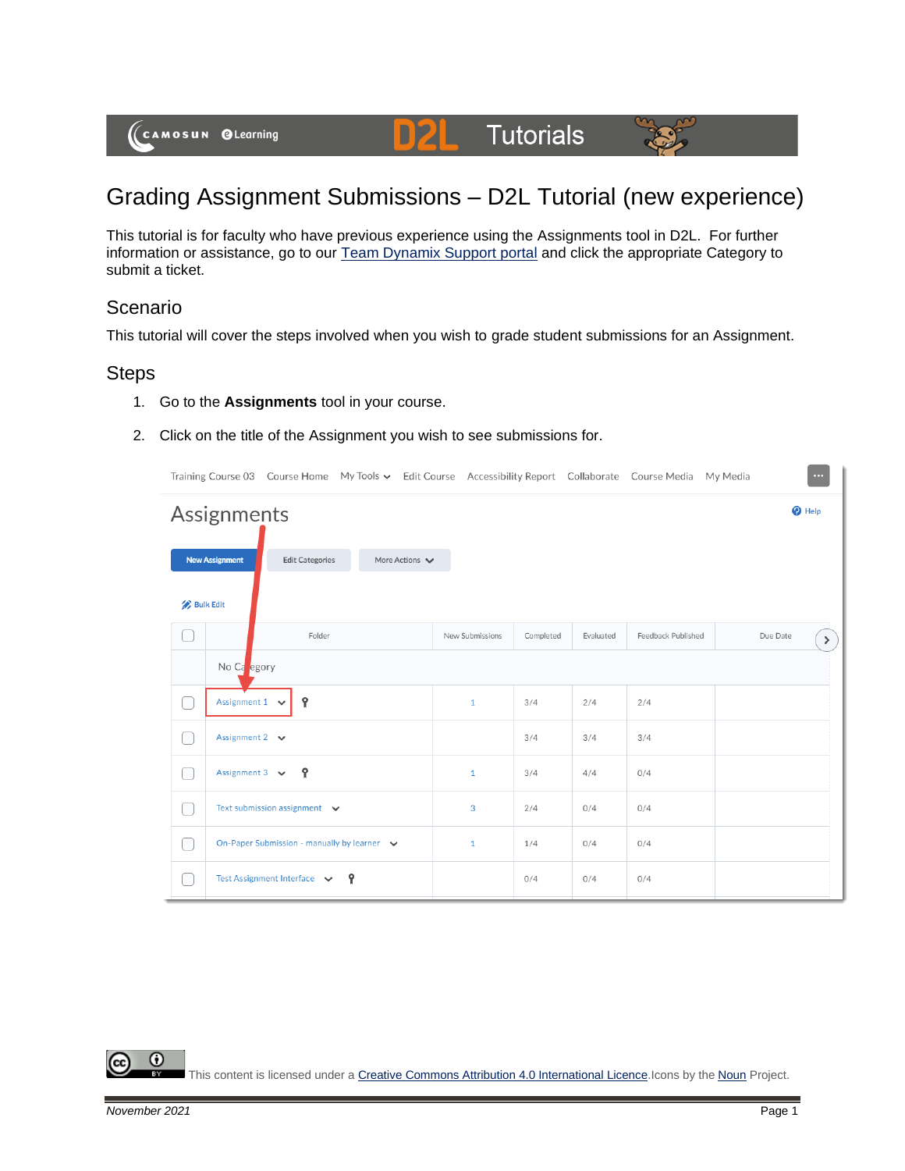

DŽ

This tutorial is for faculty who have previous experience using the Assignments tool in D2L. For further information or assistance, go to our [Team Dynamix Support portal](https://camosun.teamdynamix.com/TDClient/67/Portal/Requests/ServiceCatalog?CategoryID=523) and click the appropriate Category to submit a ticket.

## Scenario

This tutorial will cover the steps involved when you wish to grade student submissions for an Assignment.

## Steps

- 1. Go to the **Assignments** tool in your course.
- 2. Click on the title of the Assignment you wish to see submissions for.

|                  |                           |                                             |   |                                    |                 |           |           | Training Course 03 Course Home My Tools v Edit Course Accessibility Report Collaborate Course Media My Media | $\cdots$         |
|------------------|---------------------------|---------------------------------------------|---|------------------------------------|-----------------|-----------|-----------|--------------------------------------------------------------------------------------------------------------|------------------|
|                  | Assignments               |                                             |   |                                    |                 |           |           |                                                                                                              | $\bullet$ Help   |
|                  | <b>New Assignment</b>     | <b>Edit Categories</b>                      |   | More Actions $\blacktriangleright$ |                 |           |           |                                                                                                              |                  |
| <b>Bulk Edit</b> |                           |                                             |   |                                    |                 |           |           |                                                                                                              |                  |
|                  |                           | Folder                                      |   |                                    | New Submissions | Completed | Evaluated | Feedback Published                                                                                           | Due Date<br>$\,$ |
|                  | No Ca egory               |                                             |   |                                    |                 |           |           |                                                                                                              |                  |
|                  | Assignment $1 \quad \vee$ | የ                                           |   |                                    | $\mathbf{1}$    | 3/4       | 2/4       | 2/4                                                                                                          |                  |
|                  | Assignment $2 \quad \vee$ |                                             |   |                                    |                 | 3/4       | 3/4       | 3/4                                                                                                          |                  |
|                  | Assignment 3 $\vee$       | Ŷ                                           |   |                                    | $\mathbf{1}$    | 3/4       | 4/4       | 0/4                                                                                                          |                  |
|                  |                           | Text submission assignment $\vee$           |   |                                    | 3               | 2/4       | 0/4       | 0/4                                                                                                          |                  |
|                  |                           | On-Paper Submission - manually by learner v |   |                                    | $\mathbf{1}$    | 1/4       | 0/4       | 0/4                                                                                                          |                  |
|                  |                           | Test Assignment Interface $\sqrt{}$         | Ŷ |                                    |                 | 0/4       | 0/4       | 0/4                                                                                                          |                  |

0

This content is licensed under [a Creative Commons Attribution 4.0 International Licence.I](https://creativecommons.org/licenses/by/4.0/)cons by the [Noun](https://creativecommons.org/website-icons/) Project.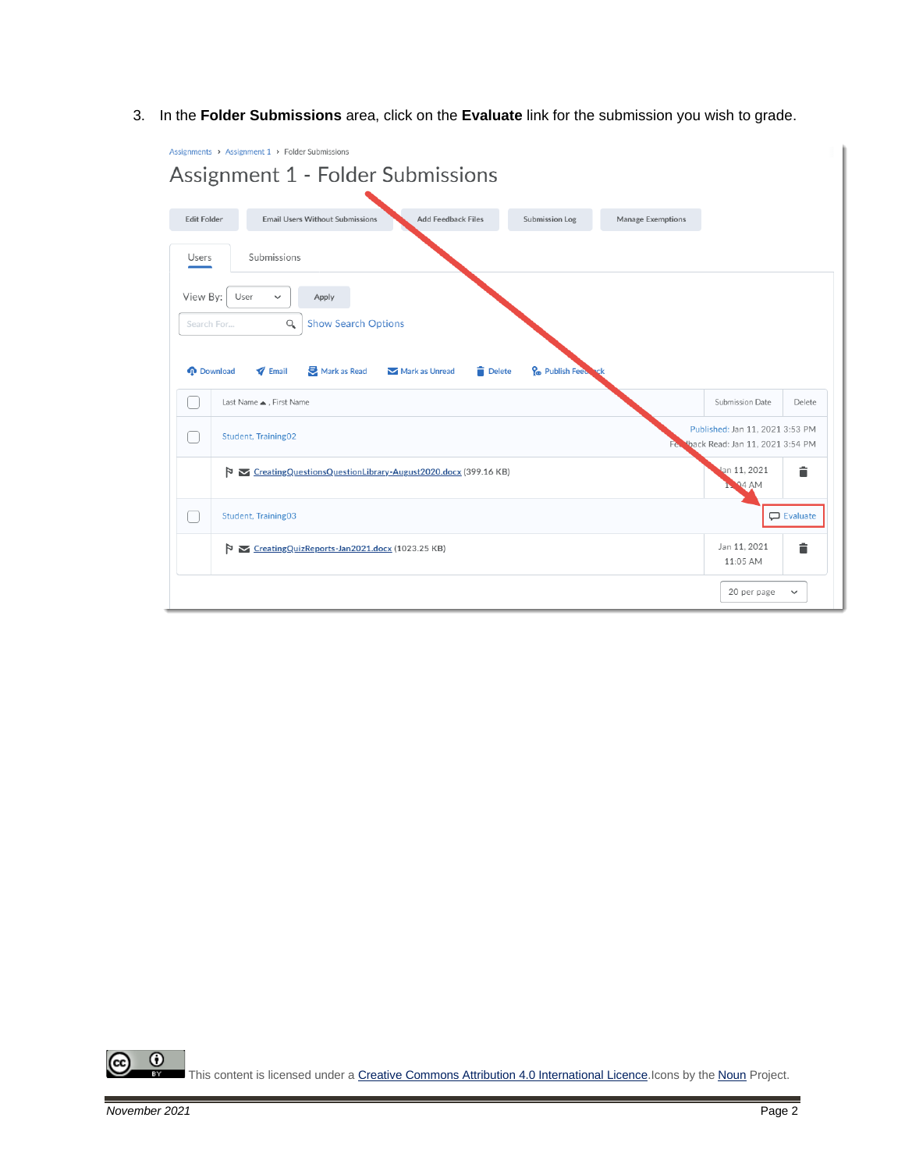3. In the **Folder Submissions** area, click on the **Evaluate** link for the submission you wish to grade.



 $\Omega$ This content is licensed under [a Creative Commons Attribution 4.0 International Licence.I](https://creativecommons.org/licenses/by/4.0/)cons by the [Noun](https://creativecommons.org/website-icons/) Project.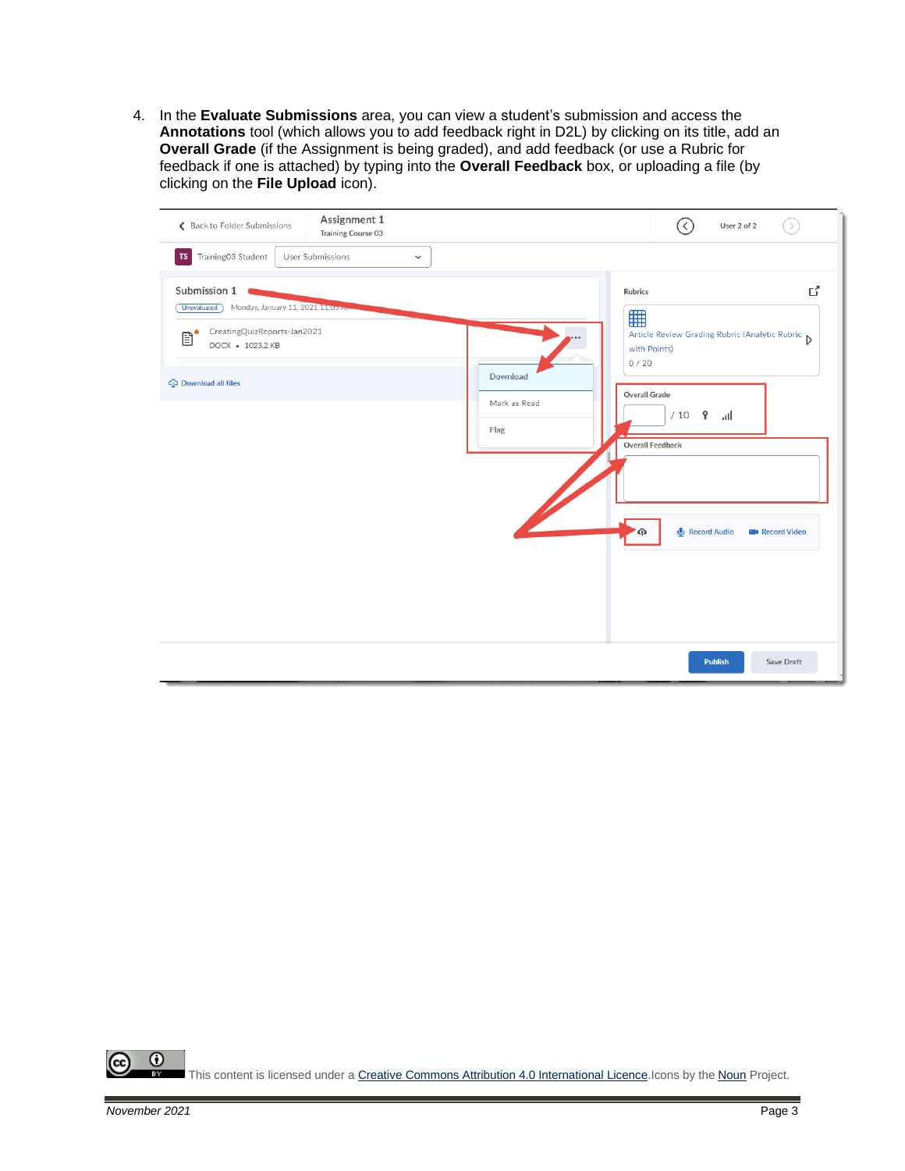4. In the **Evaluate Submissions** area, you can view a student's submission and access the **Annotations** tool (which allows you to add feedback right in D2L) by clicking on its title, add an **Overall Grade** (if the Assignment is being graded), and add feedback (or use a Rubric for feedback if one is attached) by typing into the **Overall Feedback** box, or uploading a file (by clicking on the **File Upload** icon).

| Back to Folder Submissions                                                                                                                                                       | Assignment 1<br>Training Course 03      |                                  |                                                                                                       | User 2 of 2                                                                             |                             |
|----------------------------------------------------------------------------------------------------------------------------------------------------------------------------------|-----------------------------------------|----------------------------------|-------------------------------------------------------------------------------------------------------|-----------------------------------------------------------------------------------------|-----------------------------|
| <b>TS</b> Training03 Student                                                                                                                                                     | <b>User Submissions</b><br>$\checkmark$ |                                  |                                                                                                       |                                                                                         |                             |
| Submission 1<br>Monday, January 11, 2021 11:05<br><b>Unevaluated</b><br>CreatingQuizReports-Jan2021<br>$\mathbf{B}^{\bullet}$<br>DOCX • 1023.2 KB<br><b>C</b> Download all files |                                         | Download<br>Mark as Read<br>Flag | <b>Rubrics</b><br>囲<br>with Points)<br>0/20<br><b>Overall Grade</b><br>/10<br><b>Overall Feedback</b> | Article Review Grading Rubric (Analytic Rubric D<br>$\mathbf{P}$<br>اس.<br>Record Audio | ď<br><b>EN</b> Record Video |
|                                                                                                                                                                                  |                                         |                                  |                                                                                                       | <b>Publish</b>                                                                          | <b>Save Draft</b>           |

 $\odot$ (cc This content is licensed under [a Creative Commons Attribution 4.0 International Licence.I](https://creativecommons.org/licenses/by/4.0/)cons by the [Noun](https://creativecommons.org/website-icons/) Project.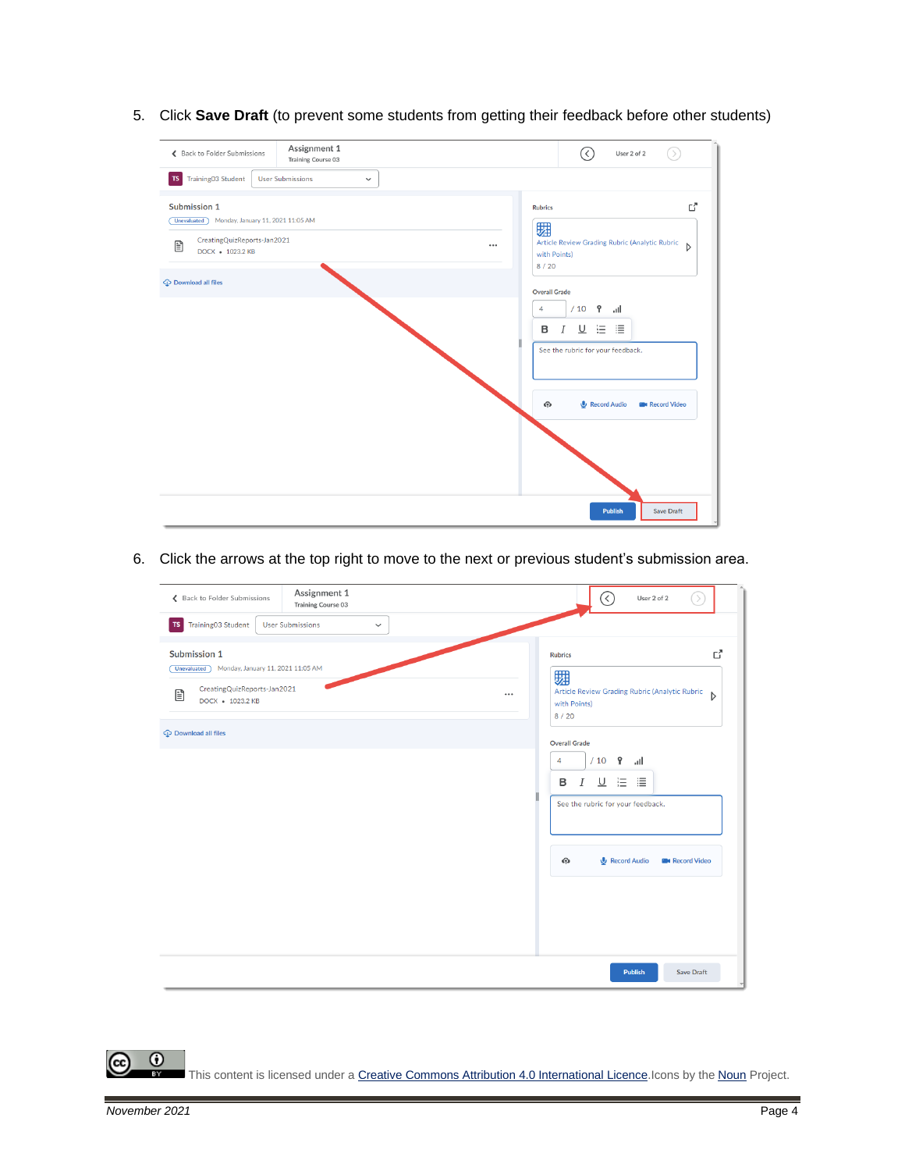5. Click **Save Draft** (to prevent some students from getting their feedback before other students)

| Back to Folder Submissions                                                          | Assignment 1<br>Training Course 03      |          |                                                                        |                                                                                                                   | User 2 of 2<br>$\rightarrow$ |  |  |
|-------------------------------------------------------------------------------------|-----------------------------------------|----------|------------------------------------------------------------------------|-------------------------------------------------------------------------------------------------------------------|------------------------------|--|--|
| Training03 Student<br>$\mathsf{T}\mathsf{S}$                                        | <b>User Submissions</b><br>$\checkmark$ |          |                                                                        |                                                                                                                   |                              |  |  |
| Submission 1<br>Monday, January 11, 2021 11:05 AM<br><b>Unevaluated</b>             |                                         |          | <b>Rubrics</b><br>翾                                                    |                                                                                                                   |                              |  |  |
| CreatingQuizReports-Jan2021<br>B<br>DOCX + 1023.2 KB<br><b>C</b> Download all files |                                         | $\cdots$ | Article Review Grading Rubric (Analytic Rubric<br>with Points)<br>8/20 | $\triangleright$                                                                                                  |                              |  |  |
|                                                                                     |                                         |          |                                                                        | <b>Overall Grade</b><br>/10<br>$\mathbf{P}$<br>all.<br>4<br>в<br>⊻<br>這<br>Ι<br>See the rubric for your feedback. | 這                            |  |  |
|                                                                                     |                                         |          |                                                                        | Record Audio<br>$\bigcirc$                                                                                        | <b>B</b> Record Video        |  |  |
|                                                                                     |                                         |          |                                                                        | <b>Publish</b>                                                                                                    | <b>Save Draft</b>            |  |  |

6. Click the arrows at the top right to move to the next or previous student's submission area.

| ← Back to Folder Submissions                                                                                                                            | Assignment 1<br>Training Course 03      |          | $(\langle \rangle$<br>User 2 of 2                                                                                                                  | $\rightarrow$         |
|---------------------------------------------------------------------------------------------------------------------------------------------------------|-----------------------------------------|----------|----------------------------------------------------------------------------------------------------------------------------------------------------|-----------------------|
| Training03 Student<br>TS                                                                                                                                | <b>User Submissions</b><br>$\checkmark$ |          |                                                                                                                                                    |                       |
| Submission 1<br>Monday, January 11, 2021 11:05 AM<br>Unevaluated<br>CreatingQuizReports-Jan2021<br>Ð<br>DOCX • 1023.2 KB<br><b>C</b> Download all files |                                         | $\cdots$ | <b>Rubrics</b><br>翾<br>Article Review Grading Rubric (Analytic Rubric<br>with Points)<br>8/20<br><b>Overall Grade</b>                              | ď<br>$\triangleright$ |
|                                                                                                                                                         |                                         |          | $\mathbf{P}$<br>/10<br>4<br>اس.<br>$\underline{\mathsf{U}}$<br>這<br>這<br>B<br>I<br>See the rubric for your feedback.<br>Record Audio<br>$\bigcirc$ | <b>E</b> Record Video |
|                                                                                                                                                         |                                         |          | <b>Publish</b>                                                                                                                                     | <b>Save Draft</b>     |

 $\overline{0}$ This content is licensed under [a Creative Commons Attribution 4.0 International Licence.I](https://creativecommons.org/licenses/by/4.0/)cons by the [Noun](https://creativecommons.org/website-icons/) Project.